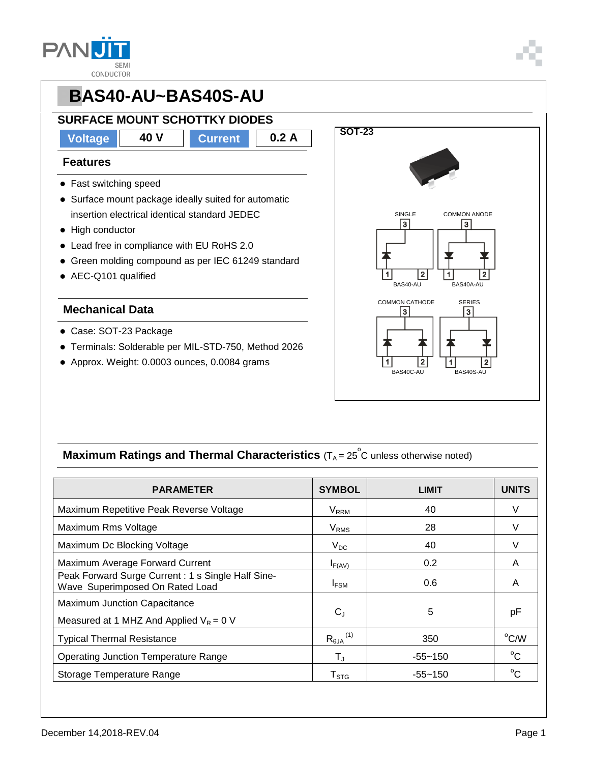

## **PBAS40-AU~BAS40S-AU SURFACE MOUNT SCHOTTKY DIODES Voltage 40 V Current 0.2 A SOT-23 Features** • Fast switching speed • Surface mount package ideally suited for automatic insertion electrical identical standard JEDEC • High conductor Lead free in compliance with EU RoHS 2.0 Green molding compound as per IEC 61249 standard

AEC-Q101 qualified

#### **Mechanical Data**

- Case: SOT-23 Package
- Terminals: Solderable per MIL-STD-750, Method 2026
- Approx. Weight: 0.0003 ounces, 0.0084 grams



### **Maximum Ratings and Thermal Characteristics** (T<sub>A</sub> = 25<sup>°</sup>C unless otherwise noted)

| <b>PARAMETER</b>                                                                     | <b>SYMBOL</b>                                  | <b>LIMIT</b> | <b>UNITS</b>   |
|--------------------------------------------------------------------------------------|------------------------------------------------|--------------|----------------|
| Maximum Repetitive Peak Reverse Voltage                                              | $V_{RRM}$                                      | 40           | V              |
| Maximum Rms Voltage                                                                  | <b>V<sub>RMS</sub></b>                         | 28           |                |
| Maximum Dc Blocking Voltage                                                          | $V_{DC}$                                       | 40           |                |
| Maximum Average Forward Current                                                      | $I_{F(AV)}$                                    | 0.2          | A              |
| Peak Forward Surge Current: 1 s Single Half Sine-<br>Wave Superimposed On Rated Load | $I_{FSM}$                                      | 0.6          | A              |
| <b>Maximum Junction Capacitance</b><br>Measured at 1 MHZ And Applied $V_R = 0$ V     | $C_{J}$                                        | 5            | рF             |
| <b>Typical Thermal Resistance</b>                                                    | $R_{\theta \mathsf{JA}}^{\hspace{0.25mm} (1)}$ | 350          | $^{\circ}$ C/W |
| <b>Operating Junction Temperature Range</b>                                          | $\mathsf{T}_\mathsf{J}$                        | $-55 - 150$  | $^{\circ}C$    |
| Storage Temperature Range                                                            | ${\sf T}_{\text{STG}}$                         | $-55 - 150$  | $^{\circ}C$    |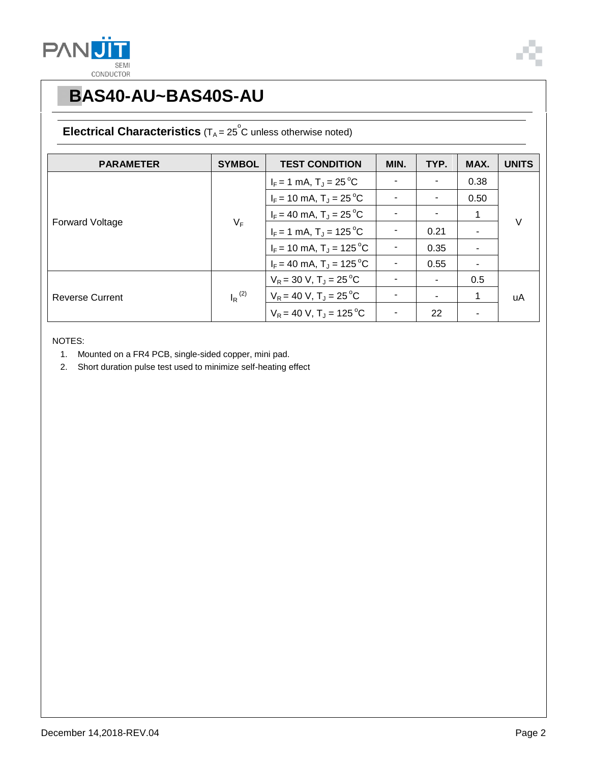



# **PBAS40-AU~BAS40S-AU**

### **Electrical Characteristics**  $(T_A = 25^\circ \text{C}$  unless otherwise noted)

| <b>PARAMETER</b>       | <b>SYMBOL</b>        | <b>TEST CONDITION</b>                  | MIN. | TYP. | MAX. | <b>UNITS</b> |
|------------------------|----------------------|----------------------------------------|------|------|------|--------------|
| <b>Forward Voltage</b> | $V_F$                | $I_F = 1$ mA, $T_J = 25$ °C            |      |      | 0.38 | $\vee$       |
|                        |                      | $I_F$ = 10 mA, T <sub>J</sub> = 25 °C  |      |      | 0.50 |              |
|                        |                      | $I_F = 40$ mA, $T_J = 25$ °C           |      |      | 1    |              |
|                        |                      | $I_F = 1$ mA, $T_J = 125$ °C           |      | 0.21 |      |              |
|                        |                      | $I_F$ = 10 mA, T <sub>J</sub> = 125 °C |      | 0.35 | ۰    |              |
|                        |                      | $I_F = 40$ mA, $T_J = 125$ °C          |      | 0.55 | ۰    |              |
| <b>Reverse Current</b> | $I_R$ <sup>(2)</sup> | $V_R = 30 V, T_J = 25 °C$              |      |      | 0.5  | uA           |
|                        |                      | $V_R = 40 V$ , $T_J = 25 °C$           |      |      | 1    |              |
|                        |                      | $V_R = 40 V$ , T <sub>J</sub> = 125 °C |      | 22   |      |              |

NOTES:

- 1. Mounted on a FR4 PCB, single-sided copper, mini pad.
- 2. Short duration pulse test used to minimize self-heating effect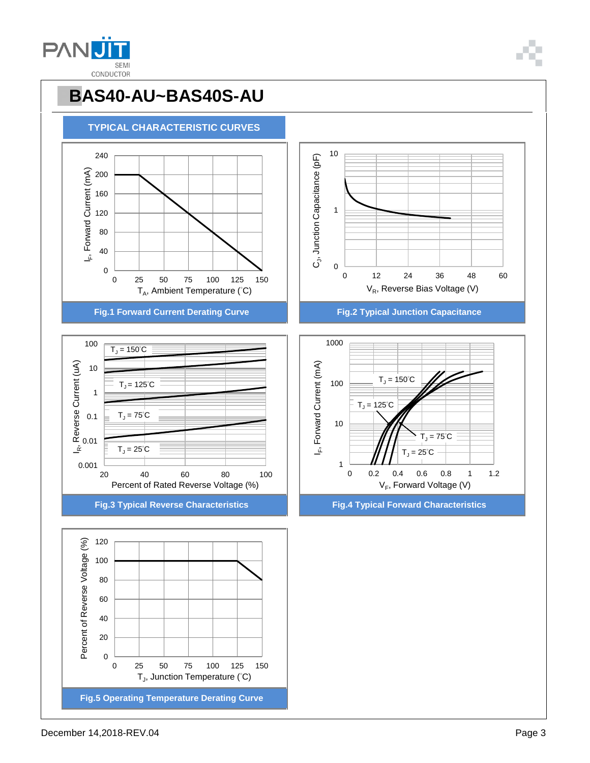

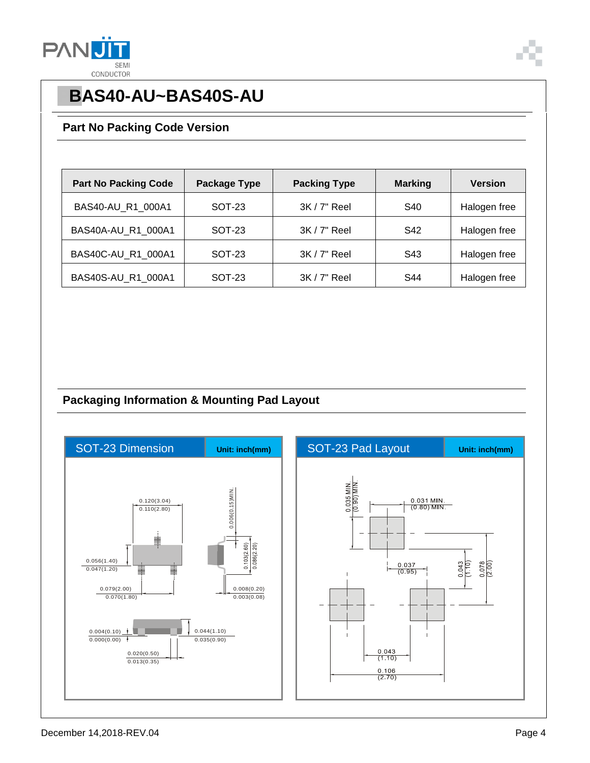



# **PBAS40-AU~BAS40S-AU**

#### **Part No Packing Code Version**

| <b>Part No Packing Code</b> | <b>Package Type</b> | <b>Packing Type</b> | <b>Marking</b> | Version      |
|-----------------------------|---------------------|---------------------|----------------|--------------|
| BAS40-AU_R1_000A1           | SOT-23              | 3K / 7" Reel        | S40            | Halogen free |
| BAS40A-AU R1 000A1          | SOT-23              | $3K/7"$ Reel        | S42            | Halogen free |
| BAS40C-AU_R1_000A1          | SOT-23              | 3K / 7" Reel        | S43            | Halogen free |
| BAS40S-AU R1 000A1          | SOT-23              | 3K / 7" Reel        | S44            | Halogen free |

### **Packaging Information & Mounting Pad Layout**